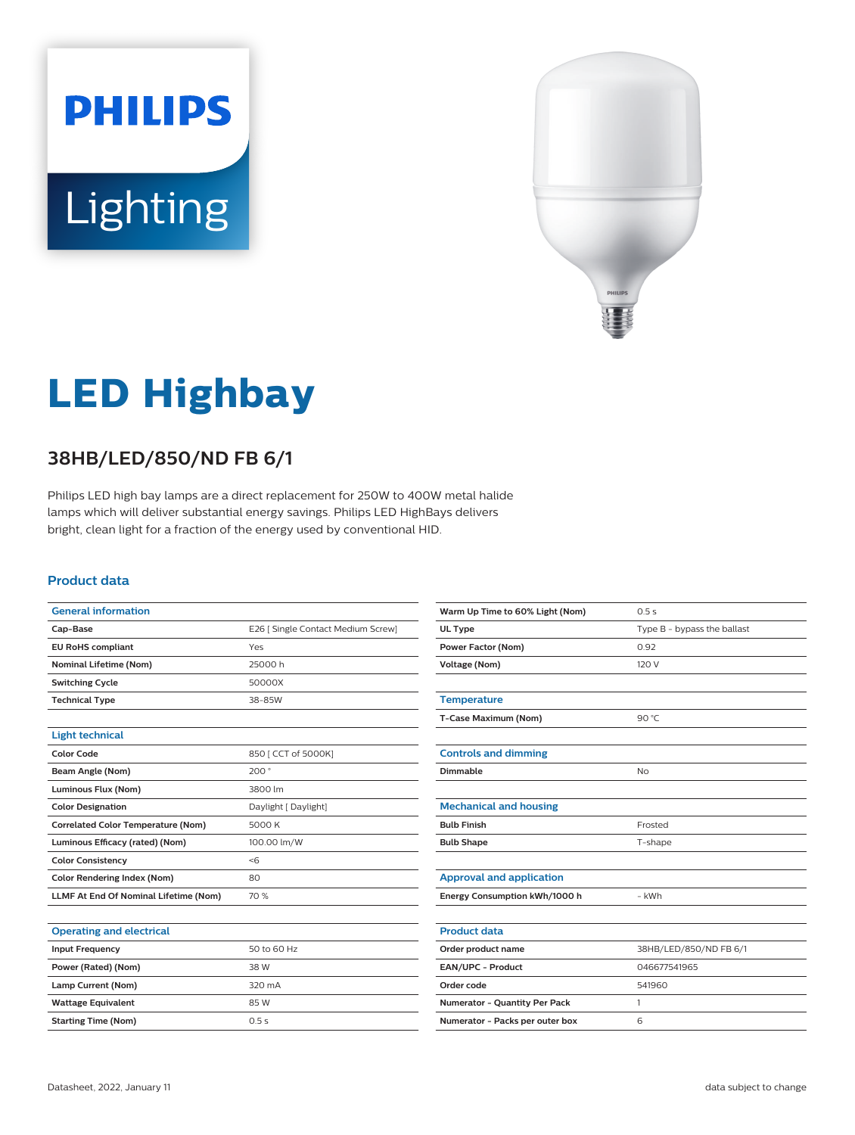



# **LED Highbay**

## **38HB/LED/850/ND FB 6/1**

Philips LED high bay lamps are a direct replacement for 250W to 400W metal halide lamps which will deliver substantial energy savings. Philips LED HighBays delivers bright, clean light for a fraction of the energy used by conventional HID.

## **Product data**

| <b>General information</b>                |                                    |  |
|-------------------------------------------|------------------------------------|--|
| Cap-Base                                  | E26 [ Single Contact Medium Screw] |  |
| <b>EU RoHS compliant</b>                  | Yes                                |  |
| <b>Nominal Lifetime (Nom)</b>             | 25000 h                            |  |
| <b>Switching Cycle</b>                    | 50000X                             |  |
| <b>Technical Type</b>                     | 38-85W                             |  |
|                                           |                                    |  |
| <b>Light technical</b>                    |                                    |  |
| <b>Color Code</b>                         | 850 [ CCT of 5000K]                |  |
| Beam Angle (Nom)                          | 200°                               |  |
| Luminous Flux (Nom)                       | 3800 lm                            |  |
| <b>Color Designation</b>                  | Daylight [ Daylight]               |  |
| <b>Correlated Color Temperature (Nom)</b> | 5000 K                             |  |
| Luminous Efficacy (rated) (Nom)           | 100.00 lm/W                        |  |
| <b>Color Consistency</b>                  | $<$ 6                              |  |
| <b>Color Rendering Index (Nom)</b>        | 80                                 |  |
| LLMF At End Of Nominal Lifetime (Nom)     | 70 %                               |  |

| Warm Up Time to 60% Light (Nom) | 0.5s                        |  |
|---------------------------------|-----------------------------|--|
| UL Type                         | Type B - bypass the ballast |  |
| <b>Power Factor (Nom)</b>       | 0.92                        |  |
| <b>Voltage (Nom)</b>            | 120 V                       |  |
|                                 |                             |  |
| <b>Temperature</b>              |                             |  |
| T-Case Maximum (Nom)            | 90 °C                       |  |
|                                 |                             |  |
| <b>Controls and dimming</b>     |                             |  |
| Dimmable                        | No                          |  |
|                                 |                             |  |
| <b>Mechanical and housing</b>   |                             |  |
| <b>Bulb Finish</b>              | Frosted                     |  |
| <b>Bulb Shape</b>               | T-shape                     |  |
|                                 |                             |  |
| <b>Approval and application</b> |                             |  |
| Energy Consumption kWh/1000 h   | - kWh                       |  |
|                                 |                             |  |
| <b>Product data</b>             |                             |  |
| Order product name              | 38HB/LED/850/ND FB 6/1      |  |
| EAN/UPC - Product               | 046677541965                |  |
| Order code                      | 541960                      |  |
| Numerator - Quantity Per Pack   | 1                           |  |
| Numerator - Packs per outer box | 6                           |  |

#### **Operating and electrical**

| <b>Input Frequency</b>     | 50 to 60 Hz |  |
|----------------------------|-------------|--|
| Power (Rated) (Nom)        | 38 W        |  |
| Lamp Current (Nom)         | 320 mA      |  |
| <b>Wattage Equivalent</b>  | 85 W        |  |
| <b>Starting Time (Nom)</b> | 0.5s        |  |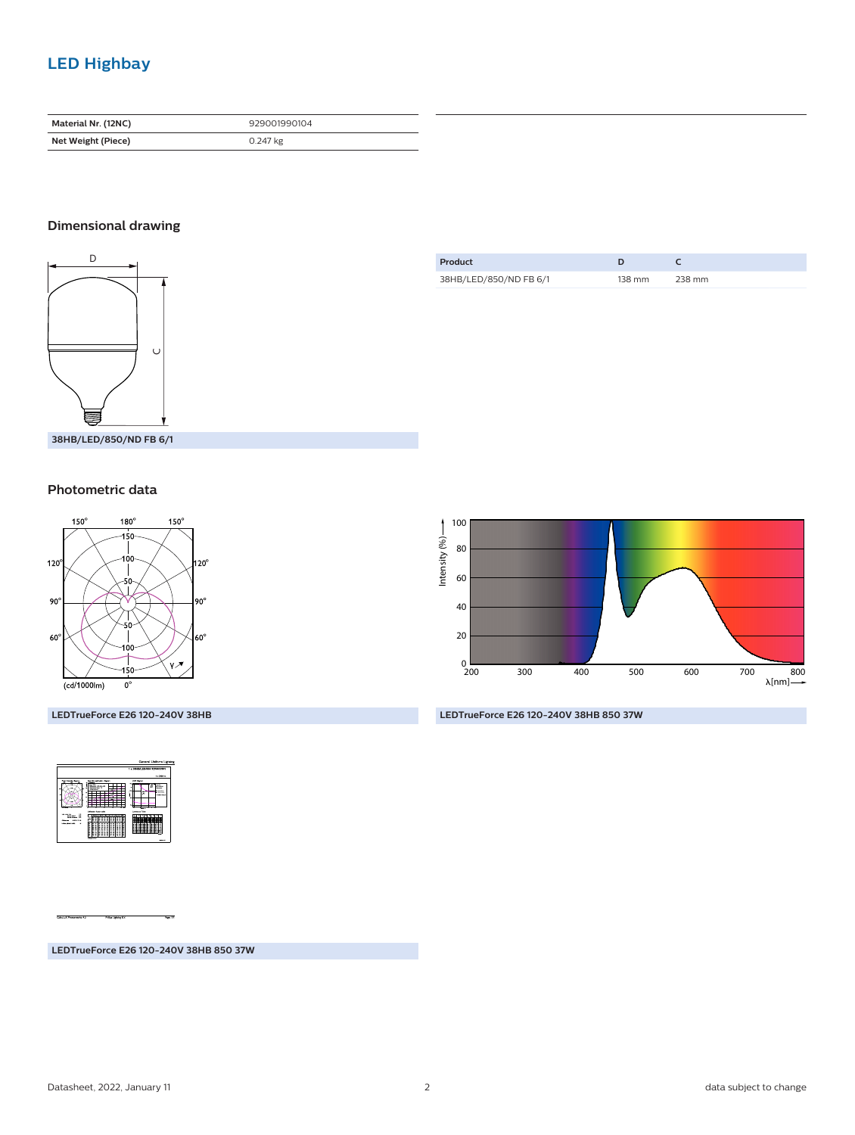## **LED Highbay**

| Material Nr. (12NC) | 929001990104 |
|---------------------|--------------|
| Net Weight (Piece)  | 0.247 kg     |

## **Dimensional drawing**



**38HB/LED/850/ND FB 6/1**

## **Photometric data**



**LEDTrueForce E26 120-240V 38HB**



**LEDTrueForce E26 120-240V 38HB 850 37W**

| Product                |        |        |
|------------------------|--------|--------|
| 38HB/LED/850/ND FB 6/1 | 138 mm | 238 mm |